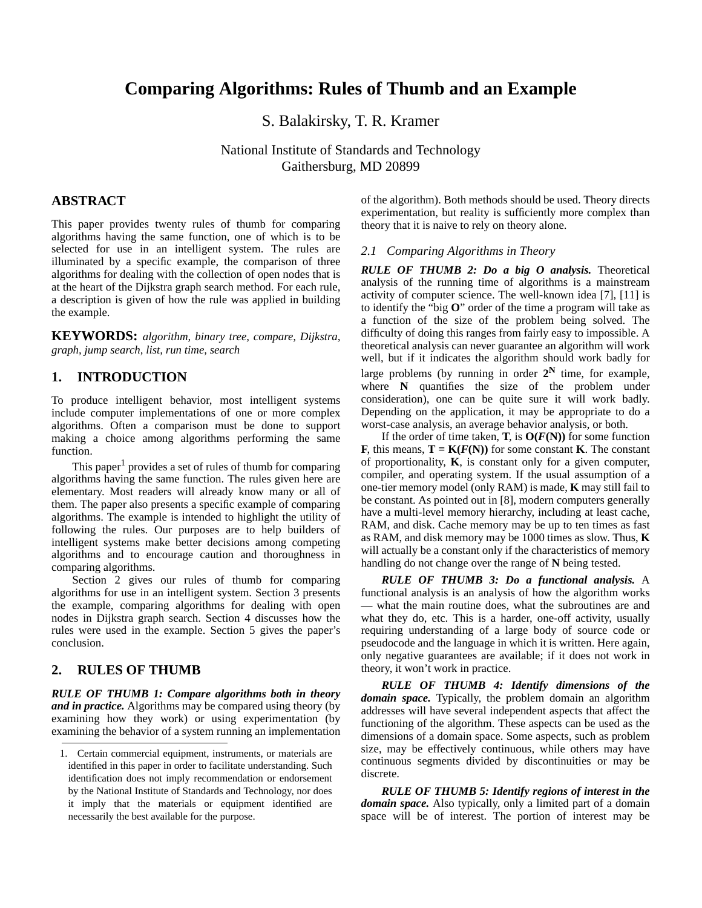# **Comparing Algorithms: Rules of Thumb and an Example**

S. Balakirsky, T. R. Kramer

National Institute of Standards and Technology Gaithersburg, MD 20899

# **ABSTRACT**

This paper provides twenty rules of thumb for comparing algorithms having the same function, one of which is to be selected for use in an intelligent system. The rules are illuminated by a specific example, the comparison of three algorithms for dealing with the collection of open nodes that is at the heart of the Dijkstra graph search method. For each rule, a description is given of how the rule was applied in building the example.

**KEYWORDS:** *algorithm, binary tree, compare, Dijkstra, graph, jump search, list, run time, search*

## **1. INTRODUCTION**

To produce intelligent behavior, most intelligent systems include computer implementations of one or more complex algorithms. Often a comparison must be done to support making a choice among algorithms performing the same function.

This paper<sup>1</sup> provides a set of rules of thumb for comparing algorithms having the same function. The rules given here are elementary. Most readers will already know many or all of them. The paper also presents a specific example of comparing algorithms. The example is intended to highlight the utility of following the rules. Our purposes are to help builders of intelligent systems make better decisions among competing algorithms and to encourage caution and thoroughness in comparing algorithms.

[Section 2](#page-0-0) gives our rules of thumb for comparing algorithms for use in an intelligent system. [Section 3](#page--1-2) presents the example, comparing algorithms for dealing with open nodes in Dijkstra graph search. [Section 4](#page--1-4) discusses how the rules were used in the example. [Section 5](#page--1-5) gives the paper's conclusion.

# <span id="page-0-0"></span>**2. RULES OF THUMB**

*RULE OF THUMB 1: Compare algorithms both in theory and in practice.* Algorithms may be compared using theory (by examining how they work) or using experimentation (by examining the behavior of a system running an implementation of the algorithm). Both methods should be used. Theory directs experimentation, but reality is sufficiently more complex than theory that it is naive to rely on theory alone.

#### *2.1 Comparing Algorithms in Theory*

*RULE OF THUMB 2: Do a big O analysis.* Theoretical analysis of the running time of algorithms is a mainstream activity of computer science. The well-known idea [\[7\]](#page--1-0), [\[11\]](#page--1-1) is to identify the "big **O**" order of the time a program will take as a function of the size of the problem being solved. The difficulty of doing this ranges from fairly easy to impossible. A theoretical analysis can never guarantee an algorithm will work well, but if it indicates the algorithm should work badly for large problems (by running in order  $2^N$  time, for example, where **N** quantifies the size of the problem under consideration), one can be quite sure it will work badly. Depending on the application, it may be appropriate to do a worst-case analysis, an average behavior analysis, or both.

If the order of time taken, **T**, is  $O(F(N))$  for some function **F**, this means,  $T = K(F(N))$  for some constant **K**. The constant of proportionality, **K**, is constant only for a given computer, compiler, and operating system. If the usual assumption of a one-tier memory model (only RAM) is made, **K** may still fail to be constant. As pointed out in [\[8\],](#page--1-3) modern computers generally have a multi-level memory hierarchy, including at least cache, RAM, and disk. Cache memory may be up to ten times as fast as RAM, and disk memory may be 1000 times as slow. Thus, **K** will actually be a constant only if the characteristics of memory handling do not change over the range of **N** being tested.

*RULE OF THUMB 3: Do a functional analysis.* A functional analysis is an analysis of how the algorithm works — what the main routine does, what the subroutines are and what they do, etc. This is a harder, one-off activity, usually requiring understanding of a large body of source code or pseudocode and the language in which it is written. Here again, only negative guarantees are available; if it does not work in theory, it won't work in practice.

*RULE OF THUMB 4: Identify dimensions of the domain space.* Typically, the problem domain an algorithm addresses will have several independent aspects that affect the functioning of the algorithm. These aspects can be used as the dimensions of a domain space. Some aspects, such as problem size, may be effectively continuous, while others may have continuous segments divided by discontinuities or may be discrete.

*RULE OF THUMB 5: Identify regions of interest in the domain space.* Also typically, only a limited part of a domain space will be of interest. The portion of interest may be

<sup>1.</sup> Certain commercial equipment, instruments, or materials are identified in this paper in order to facilitate understanding. Such identification does not imply recommendation or endorsement by the National Institute of Standards and Technology, nor does it imply that the materials or equipment identified are necessarily the best available for the purpose.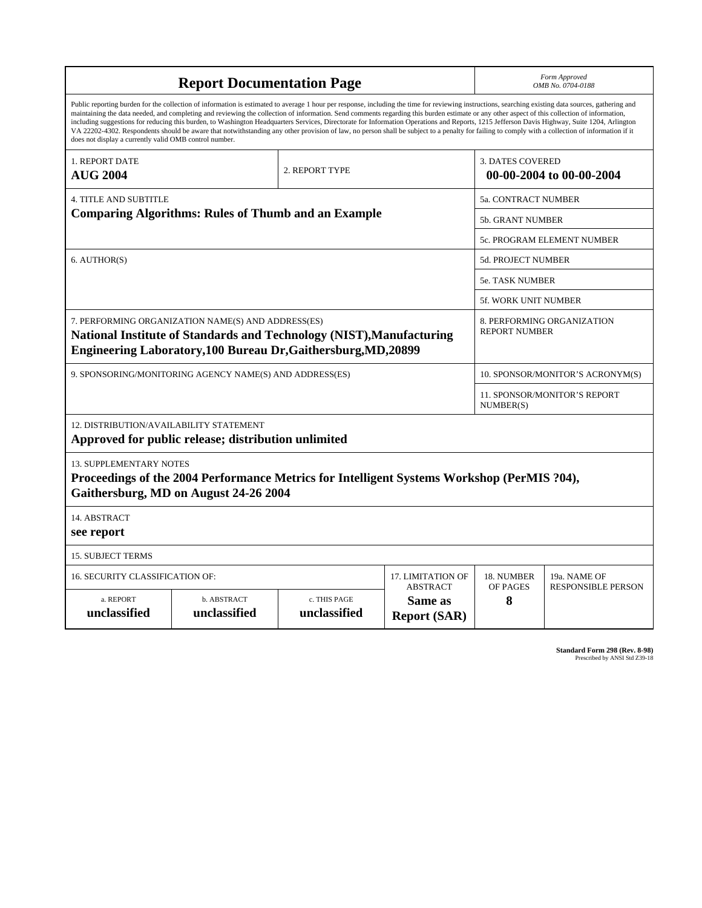|                                                                                                                                                                                              | Form Approved<br>OMB No. 0704-0188                                                                                                                                                                                                                                                                                                                                                                                                                                                                                                                                                                                                                                                                                                                                                                       |                              |                                                     |               |                                                    |  |  |
|----------------------------------------------------------------------------------------------------------------------------------------------------------------------------------------------|----------------------------------------------------------------------------------------------------------------------------------------------------------------------------------------------------------------------------------------------------------------------------------------------------------------------------------------------------------------------------------------------------------------------------------------------------------------------------------------------------------------------------------------------------------------------------------------------------------------------------------------------------------------------------------------------------------------------------------------------------------------------------------------------------------|------------------------------|-----------------------------------------------------|---------------|----------------------------------------------------|--|--|
| does not display a currently valid OMB control number.                                                                                                                                       | Public reporting burden for the collection of information is estimated to average 1 hour per response, including the time for reviewing instructions, searching existing data sources, gathering and<br>maintaining the data needed, and completing and reviewing the collection of information. Send comments regarding this burden estimate or any other aspect of this collection of information,<br>including suggestions for reducing this burden, to Washington Headquarters Services, Directorate for Information Operations and Reports, 1215 Jefferson Davis Highway, Suite 1204, Arlington<br>VA 22202-4302. Respondents should be aware that notwithstanding any other provision of law, no person shall be subject to a penalty for failing to comply with a collection of information if it |                              |                                                     |               |                                                    |  |  |
| 1. REPORT DATE<br><b>AUG 2004</b>                                                                                                                                                            |                                                                                                                                                                                                                                                                                                                                                                                                                                                                                                                                                                                                                                                                                                                                                                                                          |                              | <b>3. DATES COVERED</b><br>00-00-2004 to 00-00-2004 |               |                                                    |  |  |
| <b>4. TITLE AND SUBTITLE</b>                                                                                                                                                                 | 5a. CONTRACT NUMBER                                                                                                                                                                                                                                                                                                                                                                                                                                                                                                                                                                                                                                                                                                                                                                                      |                              |                                                     |               |                                                    |  |  |
| <b>Comparing Algorithms: Rules of Thumb and an Example</b>                                                                                                                                   | <b>5b. GRANT NUMBER</b>                                                                                                                                                                                                                                                                                                                                                                                                                                                                                                                                                                                                                                                                                                                                                                                  |                              |                                                     |               |                                                    |  |  |
|                                                                                                                                                                                              |                                                                                                                                                                                                                                                                                                                                                                                                                                                                                                                                                                                                                                                                                                                                                                                                          |                              |                                                     |               | 5c. PROGRAM ELEMENT NUMBER                         |  |  |
| 6. AUTHOR(S)                                                                                                                                                                                 |                                                                                                                                                                                                                                                                                                                                                                                                                                                                                                                                                                                                                                                                                                                                                                                                          |                              |                                                     |               | <b>5d. PROJECT NUMBER</b>                          |  |  |
|                                                                                                                                                                                              |                                                                                                                                                                                                                                                                                                                                                                                                                                                                                                                                                                                                                                                                                                                                                                                                          |                              |                                                     |               | <b>5e. TASK NUMBER</b>                             |  |  |
|                                                                                                                                                                                              |                                                                                                                                                                                                                                                                                                                                                                                                                                                                                                                                                                                                                                                                                                                                                                                                          |                              |                                                     |               | 5f. WORK UNIT NUMBER                               |  |  |
| 7. PERFORMING ORGANIZATION NAME(S) AND ADDRESS(ES)<br>National Institute of Standards and Technology (NIST), Manufacturing<br>Engineering Laboratory, 100 Bureau Dr, Gaithersburg, MD, 20899 |                                                                                                                                                                                                                                                                                                                                                                                                                                                                                                                                                                                                                                                                                                                                                                                                          |                              |                                                     |               | 8. PERFORMING ORGANIZATION<br><b>REPORT NUMBER</b> |  |  |
| 9. SPONSORING/MONITORING AGENCY NAME(S) AND ADDRESS(ES)                                                                                                                                      |                                                                                                                                                                                                                                                                                                                                                                                                                                                                                                                                                                                                                                                                                                                                                                                                          |                              |                                                     |               | 10. SPONSOR/MONITOR'S ACRONYM(S)                   |  |  |
|                                                                                                                                                                                              |                                                                                                                                                                                                                                                                                                                                                                                                                                                                                                                                                                                                                                                                                                                                                                                                          |                              |                                                     | NUMBER(S)     | 11. SPONSOR/MONITOR'S REPORT                       |  |  |
| 12. DISTRIBUTION/AVAILABILITY STATEMENT                                                                                                                                                      | Approved for public release; distribution unlimited                                                                                                                                                                                                                                                                                                                                                                                                                                                                                                                                                                                                                                                                                                                                                      |                              |                                                     |               |                                                    |  |  |
| <b>13. SUPPLEMENTARY NOTES</b>                                                                                                                                                               | Proceedings of the 2004 Performance Metrics for Intelligent Systems Workshop (PerMIS ?04),<br>Gaithersburg, MD on August 24-26 2004                                                                                                                                                                                                                                                                                                                                                                                                                                                                                                                                                                                                                                                                      |                              |                                                     |               |                                                    |  |  |
| 14. ABSTRACT<br>see report                                                                                                                                                                   |                                                                                                                                                                                                                                                                                                                                                                                                                                                                                                                                                                                                                                                                                                                                                                                                          |                              |                                                     |               |                                                    |  |  |
| <b>15. SUBJECT TERMS</b>                                                                                                                                                                     |                                                                                                                                                                                                                                                                                                                                                                                                                                                                                                                                                                                                                                                                                                                                                                                                          |                              |                                                     |               |                                                    |  |  |
| 16. SECURITY CLASSIFICATION OF:                                                                                                                                                              |                                                                                                                                                                                                                                                                                                                                                                                                                                                                                                                                                                                                                                                                                                                                                                                                          | 17. LIMITATION OF            | 18. NUMBER                                          | 19a. NAME OF  |                                                    |  |  |
| a. REPORT<br>unclassified                                                                                                                                                                    | b. ABSTRACT<br>unclassified                                                                                                                                                                                                                                                                                                                                                                                                                                                                                                                                                                                                                                                                                                                                                                              | c. THIS PAGE<br>unclassified | <b>ABSTRACT</b><br>Same as<br><b>Report (SAR)</b>   | OF PAGES<br>8 | <b>RESPONSIBLE PERSON</b>                          |  |  |

**Standard Form 298 (Rev. 8-98)**<br>Prescribed by ANSI Std Z39-18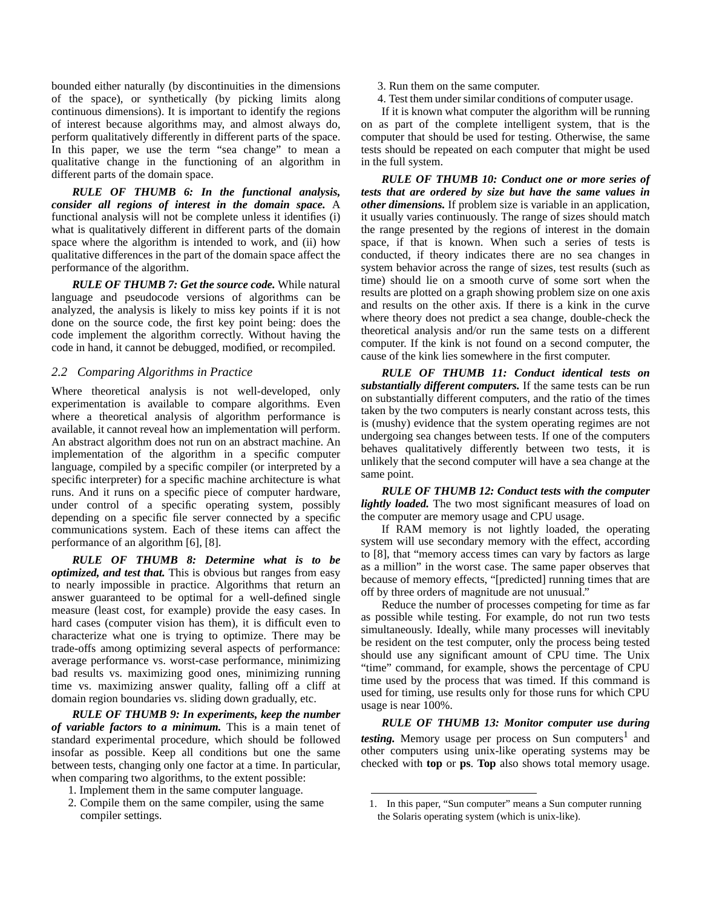bounded either naturally (by discontinuities in the dimensions of the space), or synthetically (by picking limits along continuous dimensions). It is important to identify the regions of interest because algorithms may, and almost always do, perform qualitatively differently in different parts of the space. In this paper, we use the term "sea change" to mean a qualitative change in the functioning of an algorithm in different parts of the domain space.

*RULE OF THUMB 6: In the functional analysis, consider all regions of interest in the domain space.* A functional analysis will not be complete unless it identifies (i) what is qualitatively different in different parts of the domain space where the algorithm is intended to work, and (ii) how qualitative differences in the part of the domain space affect the performance of the algorithm.

*RULE OF THUMB 7: Get the source code.* While natural language and pseudocode versions of algorithms can be analyzed, the analysis is likely to miss key points if it is not done on the source code, the first key point being: does the code implement the algorithm correctly. Without having the code in hand, it cannot be debugged, modified, or recompiled.

#### *2.2 Comparing Algorithms in Practice*

Where theoretical analysis is not well-developed, only experimentation is available to compare algorithms. Even where a theoretical analysis of algorithm performance is available, it cannot reveal how an implementation will perform. An abstract algorithm does not run on an abstract machine. An implementation of the algorithm in a specific computer language, compiled by a specific compiler (or interpreted by a specific interpreter) for a specific machine architecture is what runs. And it runs on a specific piece of computer hardware, under control of a specific operating system, possibly depending on a specific file server connected by a specific communications system. Each of these items can affect the performance of an algorithm [\[6\],](#page-8-0) [\[8\].](#page-8-1)

*RULE OF THUMB 8: Determine what is to be optimized, and test that.* This is obvious but ranges from easy to nearly impossible in practice. Algorithms that return an answer guaranteed to be optimal for a well-defined single measure (least cost, for example) provide the easy cases. In hard cases (computer vision has them), it is difficult even to characterize what one is trying to optimize. There may be trade-offs among optimizing several aspects of performance: average performance vs. worst-case performance, minimizing bad results vs. maximizing good ones, minimizing running time vs. maximizing answer quality, falling off a cliff at domain region boundaries vs. sliding down gradually, etc.

*RULE OF THUMB 9: In experiments, keep the number of variable factors to a minimum.* This is a main tenet of standard experimental procedure, which should be followed insofar as possible. Keep all conditions but one the same between tests, changing only one factor at a time. In particular, when comparing two algorithms, to the extent possible:

- 1. Implement them in the same computer language.
- 2. Compile them on the same compiler, using the same compiler settings.
- 3. Run them on the same computer.
- 4. Test them under similar conditions of computer usage.

If it is known what computer the algorithm will be running on as part of the complete intelligent system, that is the computer that should be used for testing. Otherwise, the same tests should be repeated on each computer that might be used in the full system.

*RULE OF THUMB 10: Conduct one or more series of tests that are ordered by size but have the same values in other dimensions.* If problem size is variable in an application, it usually varies continuously. The range of sizes should match the range presented by the regions of interest in the domain space, if that is known. When such a series of tests is conducted, if theory indicates there are no sea changes in system behavior across the range of sizes, test results (such as time) should lie on a smooth curve of some sort when the results are plotted on a graph showing problem size on one axis and results on the other axis. If there is a kink in the curve where theory does not predict a sea change, double-check the theoretical analysis and/or run the same tests on a different computer. If the kink is not found on a second computer, the cause of the kink lies somewhere in the first computer.

*RULE OF THUMB 11: Conduct identical tests on substantially different computers.* If the same tests can be run on substantially different computers, and the ratio of the times taken by the two computers is nearly constant across tests, this is (mushy) evidence that the system operating regimes are not undergoing sea changes between tests. If one of the computers behaves qualitatively differently between two tests, it is unlikely that the second computer will have a sea change at the same point.

*RULE OF THUMB 12: Conduct tests with the computer lightly loaded.* The two most significant measures of load on the computer are memory usage and CPU usage.

If RAM memory is not lightly loaded, the operating system will use secondary memory with the effect, according to [\[8\]](#page-8-1), that "memory access times can vary by factors as large as a million" in the worst case. The same paper observes that because of memory effects, "[predicted] running times that are off by three orders of magnitude are not unusual."

Reduce the number of processes competing for time as far as possible while testing. For example, do not run two tests simultaneously. Ideally, while many processes will inevitably be resident on the test computer, only the process being tested should use any significant amount of CPU time. The Unix "time" command, for example, shows the percentage of CPU time used by the process that was timed. If this command is used for timing, use results only for those runs for which CPU usage is near 100%.

*RULE OF THUMB 13: Monitor computer use during testing.* Memory usage per process on Sun computers<sup>1</sup> and other computers using unix-like operating systems may be checked with **top** or **ps**. **Top** also shows total memory usage.

<sup>1.</sup> In this paper, "Sun computer" means a Sun computer running the Solaris operating system (which is unix-like).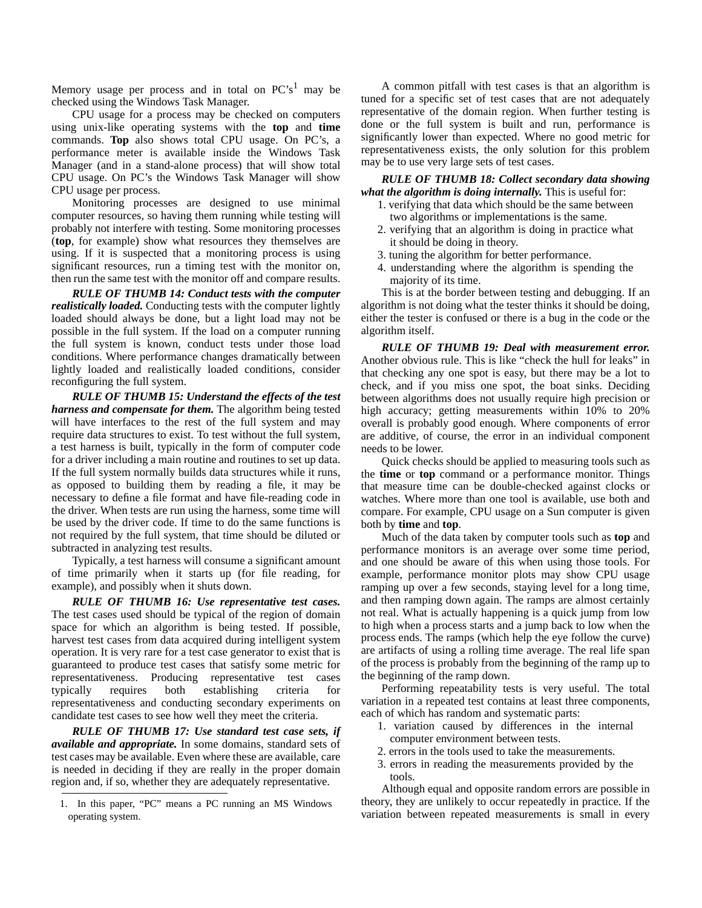Memory usage per process and in total on  $PC's<sup>1</sup>$  may be checked using the Windows Task Manager.

CPU usage for a process may be checked on computers using unix-like operating systems with the **top** and **time** commands. **Top** also shows total CPU usage. On PC's, a performance meter is available inside the Windows Task Manager (and in a stand-alone process) that will show total CPU usage. On PC's the Windows Task Manager will show CPU usage per process.

Monitoring processes are designed to use minimal computer resources, so having them running while testing will probably not interfere with testing. Some monitoring processes (**top**, for example) show what resources they themselves are using. If it is suspected that a monitoring process is using significant resources, run a timing test with the monitor on, then run the same test with the monitor off and compare results.

*RULE OF THUMB 14: Conduct tests with the computer realistically loaded.* Conducting tests with the computer lightly loaded should always be done, but a light load may not be possible in the full system. If the load on a computer running the full system is known, conduct tests under those load conditions. Where performance changes dramatically between lightly loaded and realistically loaded conditions, consider reconfiguring the full system.

*RULE OF THUMB 15: Understand the effects of the test harness and compensate for them.* The algorithm being tested will have interfaces to the rest of the full system and may require data structures to exist. To test without the full system, a test harness is built, typically in the form of computer code for a driver including a main routine and routines to set up data. If the full system normally builds data structures while it runs, as opposed to building them by reading a file, it may be necessary to define a file format and have file-reading code in the driver. When tests are run using the harness, some time will be used by the driver code. If time to do the same functions is not required by the full system, that time should be diluted or subtracted in analyzing test results.

Typically, a test harness will consume a significant amount of time primarily when it starts up (for file reading, for example), and possibly when it shuts down.

*RULE OF THUMB 16: Use representative test cases.* The test cases used should be typical of the region of domain space for which an algorithm is being tested. If possible, harvest test cases from data acquired during intelligent system operation. It is very rare for a test case generator to exist that is guaranteed to produce test cases that satisfy some metric for representativeness. Producing representative test cases typically requires both establishing criteria for representativeness and conducting secondary experiments on candidate test cases to see how well they meet the criteria.

*RULE OF THUMB 17: Use standard test case sets, if available and appropriate.* In some domains, standard sets of test cases may be available. Even where these are available, care is needed in deciding if they are really in the proper domain region and, if so, whether they are adequately representative.

A common pitfall with test cases is that an algorithm is tuned for a specific set of test cases that are not adequately representative of the domain region. When further testing is done or the full system is built and run, performance is significantly lower than expected. Where no good metric for representativeness exists, the only solution for this problem may be to use very large sets of test cases.

*RULE OF THUMB 18: Collect secondary data showing what the algorithm is doing internally.* This is useful for:

- 1. verifying that data which should be the same between two algorithms or implementations is the same.
- 2. verifying that an algorithm is doing in practice what it should be doing in theory.
- 3. tuning the algorithm for better performance.
- 4. understanding where the algorithm is spending the majority of its time.

This is at the border between testing and debugging. If an algorithm is not doing what the tester thinks it should be doing, either the tester is confused or there is a bug in the code or the algorithm itself.

*RULE OF THUMB 19: Deal with measurement error.* Another obvious rule. This is like "check the hull for leaks" in that checking any one spot is easy, but there may be a lot to check, and if you miss one spot, the boat sinks. Deciding between algorithms does not usually require high precision or high accuracy; getting measurements within 10% to 20% overall is probably good enough. Where components of error are additive, of course, the error in an individual component needs to be lower.

Quick checks should be applied to measuring tools such as the **time** or **top** command or a performance monitor. Things that measure time can be double-checked against clocks or watches. Where more than one tool is available, use both and compare. For example, CPU usage on a Sun computer is given both by **time** and **top**.

Much of the data taken by computer tools such as **top** and performance monitors is an average over some time period, and one should be aware of this when using those tools. For example, performance monitor plots may show CPU usage ramping up over a few seconds, staying level for a long time, and then ramping down again. The ramps are almost certainly not real. What is actually happening is a quick jump from low to high when a process starts and a jump back to low when the process ends. The ramps (which help the eye follow the curve) are artifacts of using a rolling time average. The real life span of the process is probably from the beginning of the ramp up to the beginning of the ramp down.

Performing repeatability tests is very useful. The total variation in a repeated test contains at least three components, each of which has random and systematic parts:

- 1. variation caused by differences in the internal computer environment between tests.
- 2. errors in the tools used to take the measurements.
- 3. errors in reading the measurements provided by the tools.

Although equal and opposite random errors are possible in theory, they are unlikely to occur repeatedly in practice. If the variation between repeated measurements is small in every

<sup>1.</sup> In this paper, "PC" means a PC running an MS Windows operating system.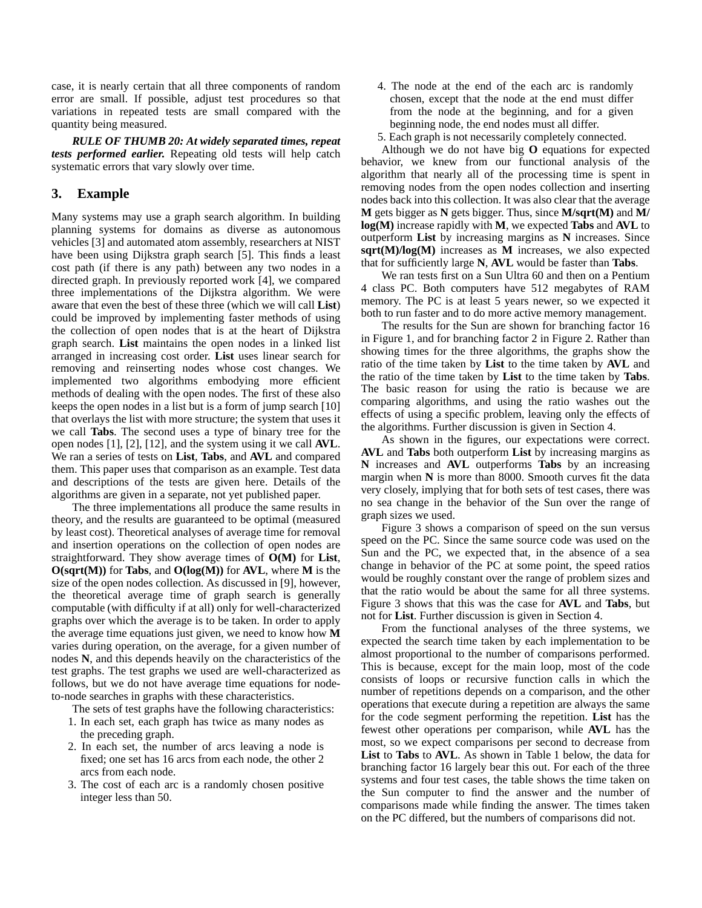case, it is nearly certain that all three components of random error are small. If possible, adjust test procedures so that variations in repeated tests are small compared with the quantity being measured.

*RULE OF THUMB 20: At widely separated times, repeat tests performed earlier.* Repeating old tests will help catch systematic errors that vary slowly over time.

## <span id="page-4-0"></span>**3. Example**

Many systems may use a graph search algorithm. In building planning systems for domains as diverse as autonomous vehicles [\[3\]](#page-8-9) and automated atom assembly, researchers at NIST have been using Dijkstra graph search [\[5\]](#page-8-3). This finds a least cost path (if there is any path) between any two nodes in a directed graph. In previously reported work [\[4\]](#page-8-2), we compared three implementations of the Dijkstra algorithm. We were aware that even the best of these three (which we will call **List**) could be improved by implementing faster methods of using the collection of open nodes that is at the heart of Dijkstra graph search. **List** maintains the open nodes in a linked list arranged in increasing cost order. **List** uses linear search for removing and reinserting nodes whose cost changes. We implemented two algorithms embodying more efficient methods of dealing with the open nodes. The first of these also keeps the open nodes in a list but is a form of jump search [\[10\]](#page-8-4) that overlays the list with more structure; the system that uses it we call **Tabs**. The second uses a type of binary tree for the open nodes [\[1\],](#page-8-5) [\[2\],](#page-8-7) [\[12\]](#page-8-8), and the system using it we call **AVL**. We ran a series of tests on **List**, **Tabs**, and **AVL** and compared them. This paper uses that comparison as an example. Test data and descriptions of the tests are given here. Details of the algorithms are given in a separate, not yet published paper.

The three implementations all produce the same results in theory, and the results are guaranteed to be optimal (measured by least cost). Theoretical analyses of average time for removal and insertion operations on the collection of open nodes are straightforward. They show average times of **O(M)** for **List**, **O(sqrt(M))** for **Tabs**, and **O(log(M))** for **AVL**, where **M** is the size of the open nodes collection. As discussed in [\[9\]](#page-8-6), however, the theoretical average time of graph search is generally computable (with difficulty if at all) only for well-characterized graphs over which the average is to be taken. In order to apply the average time equations just given, we need to know how **M** varies during operation, on the average, for a given number of nodes **N**, and this depends heavily on the characteristics of the test graphs. The test graphs we used are well-characterized as follows, but we do not have average time equations for nodeto-node searches in graphs with these characteristics.

The sets of test graphs have the following characteristics:

- 1. In each set, each graph has twice as many nodes as the preceding graph.
- 2. In each set, the number of arcs leaving a node is fixed; one set has 16 arcs from each node, the other 2 arcs from each node.
- 3. The cost of each arc is a randomly chosen positive integer less than 50.
- 4. The node at the end of the each arc is randomly chosen, except that the node at the end must differ from the node at the beginning, and for a given beginning node, the end nodes must all differ.
- 5. Each graph is not necessarily completely connected.

Although we do not have big **O** equations for expected behavior, we knew from our functional analysis of the algorithm that nearly all of the processing time is spent in removing nodes from the open nodes collection and inserting nodes back into this collection. It was also clear that the average **M** gets bigger as **N** gets bigger. Thus, since **M/sqrt(M)** and **M/ log(M)** increase rapidly with **M**, we expected **Tabs** and **AVL** to outperform **List** by increasing margins as **N** increases. Since **sqrt(M)/log(M)** increases as **M** increases, we also expected that for sufficiently large **N**, **AVL** would be faster than **Tabs**.

We ran tests first on a Sun Ultra 60 and then on a Pentium 4 class PC. Both computers have 512 megabytes of RAM memory. The PC is at least 5 years newer, so we expected it both to run faster and to do more active memory management.

The results for the Sun are shown for branching factor 16 in [Figure 1](#page-5-0), and for branching factor 2 in [Figure 2](#page-5-1). Rather than showing times for the three algorithms, the graphs show the ratio of the time taken by **List** to the time taken by **AVL** and the ratio of the time taken by **List** to the time taken by **Tabs**. The basic reason for using the ratio is because we are comparing algorithms, and using the ratio washes out the effects of using a specific problem, leaving only the effects of the algorithms. Further discussion is given in [Section 4.](#page-6-0)

As shown in the figures, our expectations were correct. **AVL** and **Tabs** both outperform **List** by increasing margins as **N** increases and **AVL** outperforms **Tabs** by an increasing margin when **N** is more than 8000. Smooth curves fit the data very closely, implying that for both sets of test cases, there was no sea change in the behavior of the Sun over the range of graph sizes we used.

[Figure 3](#page-5-2) shows a comparison of speed on the sun versus speed on the PC. Since the same source code was used on the Sun and the PC, we expected that, in the absence of a sea change in behavior of the PC at some point, the speed ratios would be roughly constant over the range of problem sizes and that the ratio would be about the same for all three systems. [Figure 3](#page-5-2) shows that this was the case for **AVL** and **Tabs**, but not for **List**. Further discussion is given in [Section 4](#page-6-0).

From the functional analyses of the three systems, we expected the search time taken by each implementation to be almost proportional to the number of comparisons performed. This is because, except for the main loop, most of the code consists of loops or recursive function calls in which the number of repetitions depends on a comparison, and the other operations that execute during a repetition are always the same for the code segment performing the repetition. **List** has the fewest other operations per comparison, while **AVL** has the most, so we expect comparisons per second to decrease from **List** to **Tabs** to **AVL**. As shown in [Table 1](#page-5-3) below, the data for branching factor 16 largely bear this out. For each of the three systems and four test cases, the table shows the time taken on the Sun computer to find the answer and the number of comparisons made while finding the answer. The times taken on the PC differed, but the numbers of comparisons did not.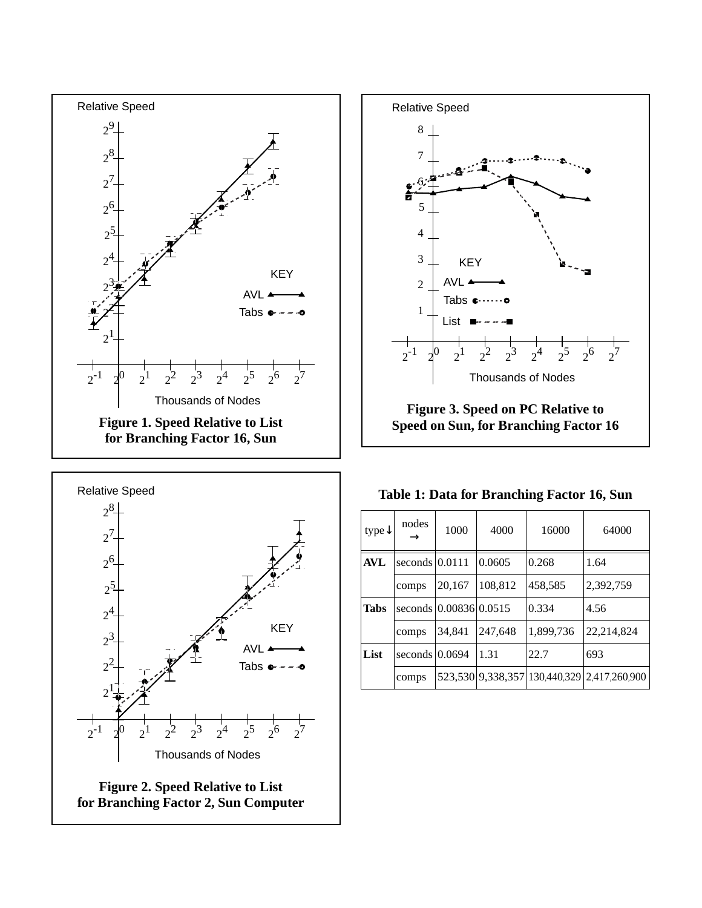



<span id="page-5-2"></span>

|  |  |  |  | Table 1: Data for Branching Factor 16, Sun |  |  |  |
|--|--|--|--|--------------------------------------------|--|--|--|
|--|--|--|--|--------------------------------------------|--|--|--|

<span id="page-5-3"></span>

<span id="page-5-1"></span><span id="page-5-0"></span>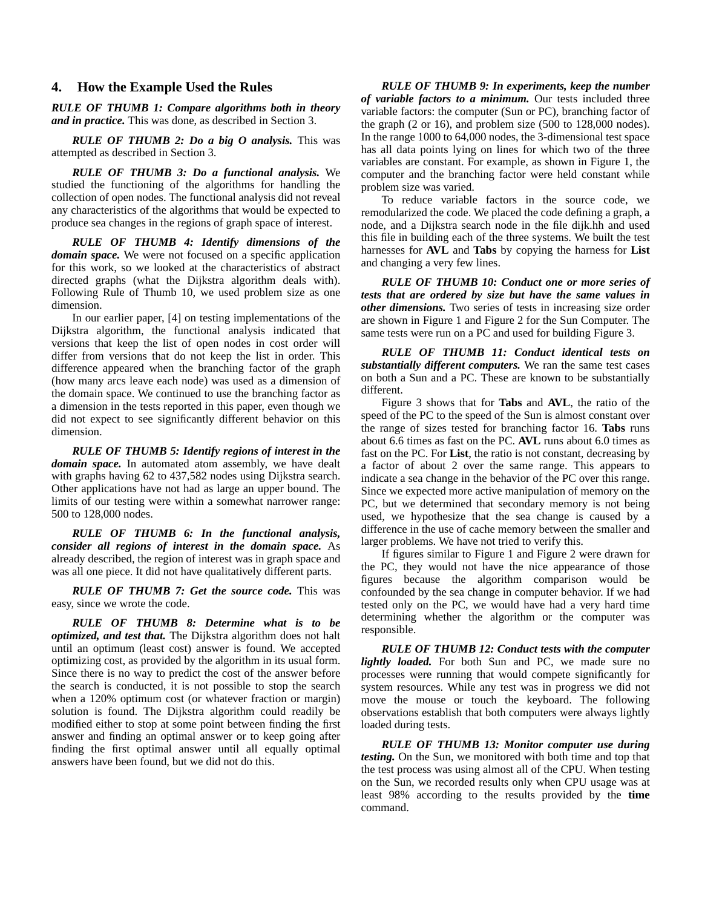#### <span id="page-6-0"></span>**4. How the Example Used the Rules**

*RULE OF THUMB 1: Compare algorithms both in theory and in practice.* This was done, as described in [Section 3.](#page-4-0)

*RULE OF THUMB 2: Do a big O analysis.* This was attempted as described in [Section 3](#page-4-0).

*RULE OF THUMB 3: Do a functional analysis.* We studied the functioning of the algorithms for handling the collection of open nodes. The functional analysis did not reveal any characteristics of the algorithms that would be expected to produce sea changes in the regions of graph space of interest.

*RULE OF THUMB 4: Identify dimensions of the domain space.* We were not focused on a specific application for this work, so we looked at the characteristics of abstract directed graphs (what the Dijkstra algorithm deals with). Following Rule of Thumb 10, we used problem size as one dimension.

In our earlier paper, [\[4\]](#page-8-2) on testing implementations of the Dijkstra algorithm, the functional analysis indicated that versions that keep the list of open nodes in cost order will differ from versions that do not keep the list in order. This difference appeared when the branching factor of the graph (how many arcs leave each node) was used as a dimension of the domain space. We continued to use the branching factor as a dimension in the tests reported in this paper, even though we did not expect to see significantly different behavior on this dimension.

*RULE OF THUMB 5: Identify regions of interest in the domain space.* In automated atom assembly, we have dealt with graphs having 62 to 437,582 nodes using Dijkstra search. Other applications have not had as large an upper bound. The limits of our testing were within a somewhat narrower range: 500 to 128,000 nodes.

*RULE OF THUMB 6: In the functional analysis, consider all regions of interest in the domain space.* As already described, the region of interest was in graph space and was all one piece. It did not have qualitatively different parts.

*RULE OF THUMB 7: Get the source code.* This was easy, since we wrote the code.

*RULE OF THUMB 8: Determine what is to be optimized, and test that.* The Dijkstra algorithm does not halt until an optimum (least cost) answer is found. We accepted optimizing cost, as provided by the algorithm in its usual form. Since there is no way to predict the cost of the answer before the search is conducted, it is not possible to stop the search when a 120% optimum cost (or whatever fraction or margin) solution is found. The Dijkstra algorithm could readily be modified either to stop at some point between finding the first answer and finding an optimal answer or to keep going after finding the first optimal answer until all equally optimal answers have been found, but we did not do this.

*RULE OF THUMB 9: In experiments, keep the number of variable factors to a minimum.* Our tests included three variable factors: the computer (Sun or PC), branching factor of the graph (2 or 16), and problem size (500 to 128,000 nodes). In the range 1000 to 64,000 nodes, the 3-dimensional test space has all data points lying on lines for which two of the three variables are constant. For example, as shown in [Figure 1](#page-5-0), the computer and the branching factor were held constant while problem size was varied.

To reduce variable factors in the source code, we remodularized the code. We placed the code defining a graph, a node, and a Dijkstra search node in the file dijk.hh and used this file in building each of the three systems. We built the test harnesses for **AVL** and **Tabs** by copying the harness for **List** and changing a very few lines.

*RULE OF THUMB 10: Conduct one or more series of tests that are ordered by size but have the same values in other dimensions.* Two series of tests in increasing size order are shown in [Figure 1](#page-5-0) and [Figure 2](#page-5-1) for the Sun Computer. The same tests were run on a PC and used for building [Figure 3](#page-5-2).

*RULE OF THUMB 11: Conduct identical tests on substantially different computers.* We ran the same test cases on both a Sun and a PC. These are known to be substantially different.

[Figure 3](#page-5-2) shows that for **Tabs** and **AVL**, the ratio of the speed of the PC to the speed of the Sun is almost constant over the range of sizes tested for branching factor 16. **Tabs** runs about 6.6 times as fast on the PC. **AVL** runs about 6.0 times as fast on the PC. For **List**, the ratio is not constant, decreasing by a factor of about 2 over the same range. This appears to indicate a sea change in the behavior of the PC over this range. Since we expected more active manipulation of memory on the PC, but we determined that secondary memory is not being used, we hypothesize that the sea change is caused by a difference in the use of cache memory between the smaller and larger problems. We have not tried to verify this.

If figures similar to [Figure 1](#page-5-0) and [Figure 2](#page-5-1) were drawn for the PC, they would not have the nice appearance of those figures because the algorithm comparison would be confounded by the sea change in computer behavior. If we had tested only on the PC, we would have had a very hard time determining whether the algorithm or the computer was responsible.

*RULE OF THUMB 12: Conduct tests with the computer lightly loaded.* For both Sun and PC, we made sure no processes were running that would compete significantly for system resources. While any test was in progress we did not move the mouse or touch the keyboard. The following observations establish that both computers were always lightly loaded during tests.

*RULE OF THUMB 13: Monitor computer use during testing.* On the Sun, we monitored with both time and top that the test process was using almost all of the CPU. When testing on the Sun, we recorded results only when CPU usage was at least 98% according to the results provided by the **time** command.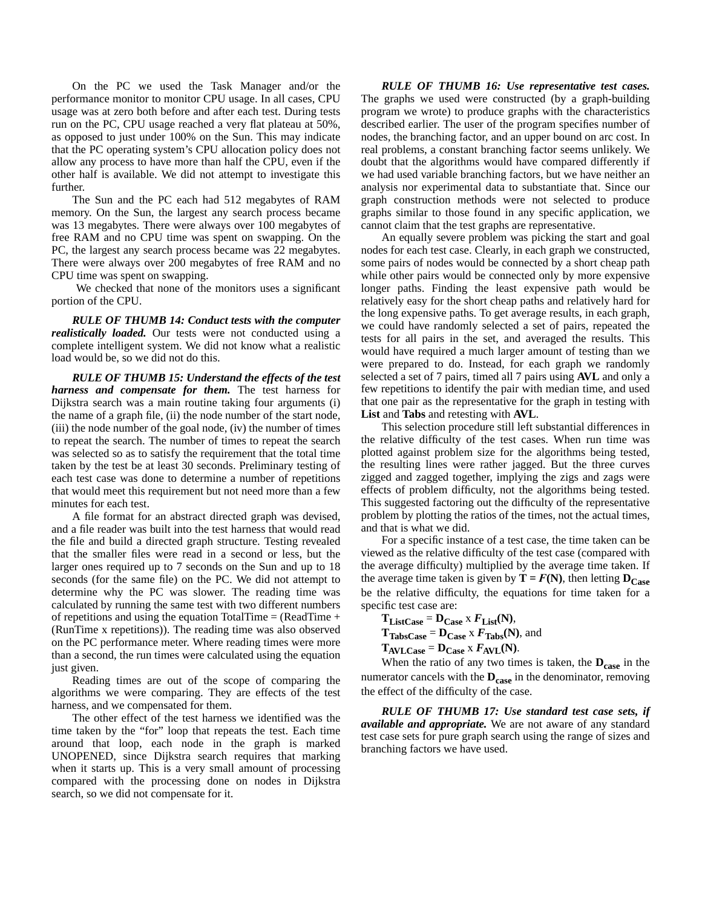On the PC we used the Task Manager and/or the performance monitor to monitor CPU usage. In all cases, CPU usage was at zero both before and after each test. During tests run on the PC, CPU usage reached a very flat plateau at 50%, as opposed to just under 100% on the Sun. This may indicate that the PC operating system's CPU allocation policy does not allow any process to have more than half the CPU, even if the other half is available. We did not attempt to investigate this further.

The Sun and the PC each had 512 megabytes of RAM memory. On the Sun, the largest any search process became was 13 megabytes. There were always over 100 megabytes of free RAM and no CPU time was spent on swapping. On the PC, the largest any search process became was 22 megabytes. There were always over 200 megabytes of free RAM and no CPU time was spent on swapping.

We checked that none of the monitors uses a significant portion of the CPU.

*RULE OF THUMB 14: Conduct tests with the computer realistically loaded.* Our tests were not conducted using a complete intelligent system. We did not know what a realistic load would be, so we did not do this.

*RULE OF THUMB 15: Understand the effects of the test harness and compensate for them.* The test harness for Dijkstra search was a main routine taking four arguments (i) the name of a graph file, (ii) the node number of the start node, (iii) the node number of the goal node, (iv) the number of times to repeat the search. The number of times to repeat the search was selected so as to satisfy the requirement that the total time taken by the test be at least 30 seconds. Preliminary testing of each test case was done to determine a number of repetitions that would meet this requirement but not need more than a few minutes for each test.

A file format for an abstract directed graph was devised, and a file reader was built into the test harness that would read the file and build a directed graph structure. Testing revealed that the smaller files were read in a second or less, but the larger ones required up to 7 seconds on the Sun and up to 18 seconds (for the same file) on the PC. We did not attempt to determine why the PC was slower. The reading time was calculated by running the same test with two different numbers of repetitions and using the equation TotalTime =  $(ReadTime +$ (RunTime x repetitions)). The reading time was also observed on the PC performance meter. Where reading times were more than a second, the run times were calculated using the equation just given.

Reading times are out of the scope of comparing the algorithms we were comparing. They are effects of the test harness, and we compensated for them.

The other effect of the test harness we identified was the time taken by the "for" loop that repeats the test. Each time around that loop, each node in the graph is marked UNOPENED, since Dijkstra search requires that marking when it starts up. This is a very small amount of processing compared with the processing done on nodes in Dijkstra search, so we did not compensate for it.

*RULE OF THUMB 16: Use representative test cases.* The graphs we used were constructed (by a graph-building program we wrote) to produce graphs with the characteristics described earlier. The user of the program specifies number of nodes, the branching factor, and an upper bound on arc cost. In real problems, a constant branching factor seems unlikely. We doubt that the algorithms would have compared differently if we had used variable branching factors, but we have neither an analysis nor experimental data to substantiate that. Since our graph construction methods were not selected to produce graphs similar to those found in any specific application, we cannot claim that the test graphs are representative.

An equally severe problem was picking the start and goal nodes for each test case. Clearly, in each graph we constructed, some pairs of nodes would be connected by a short cheap path while other pairs would be connected only by more expensive longer paths. Finding the least expensive path would be relatively easy for the short cheap paths and relatively hard for the long expensive paths. To get average results, in each graph, we could have randomly selected a set of pairs, repeated the tests for all pairs in the set, and averaged the results. This would have required a much larger amount of testing than we were prepared to do. Instead, for each graph we randomly selected a set of 7 pairs, timed all 7 pairs using **AVL** and only a few repetitions to identify the pair with median time, and used that one pair as the representative for the graph in testing with **List** and **Tabs** and retesting with **AVL**.

This selection procedure still left substantial differences in the relative difficulty of the test cases. When run time was plotted against problem size for the algorithms being tested, the resulting lines were rather jagged. But the three curves zigged and zagged together, implying the zigs and zags were effects of problem difficulty, not the algorithms being tested. This suggested factoring out the difficulty of the representative problem by plotting the ratios of the times, not the actual times, and that is what we did.

For a specific instance of a test case, the time taken can be viewed as the relative difficulty of the test case (compared with the average difficulty) multiplied by the average time taken. If the average time taken is given by  $T = F(N)$ , then letting  $D_{\text{Case}}$ be the relative difficulty, the equations for time taken for a specific test case are:

 $T_{ListCase} = D_{Case} \times F_{List}(N),$  $T_{\text{TablesCase}} = D_{\text{Case}} \times F_{\text{Tables}}(N)$ , and  $T_{AVLCase} = D_{Case} \times F_{AVL}(N)$ .

When the ratio of any two times is taken, the  $D_{\text{case}}$  in the numerator cancels with the **Dcase** in the denominator, removing the effect of the difficulty of the case.

*RULE OF THUMB 17: Use standard test case sets, if available and appropriate.* We are not aware of any standard test case sets for pure graph search using the range of sizes and branching factors we have used.